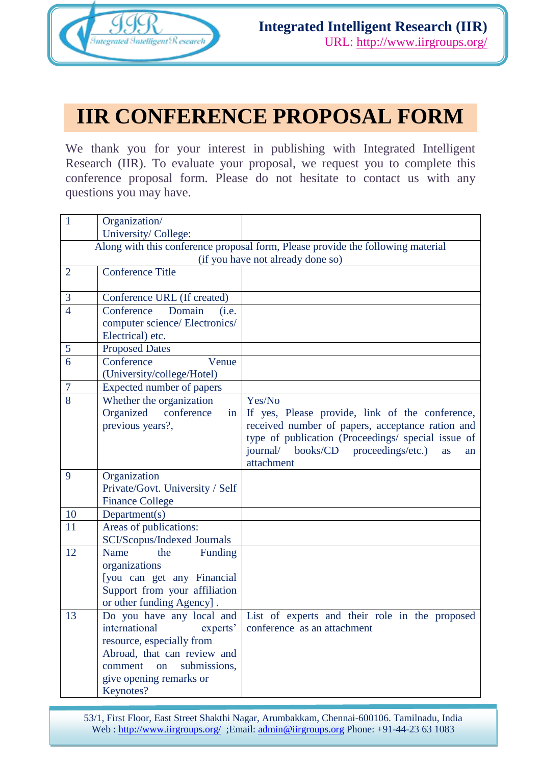

## **IIR CONFERENCE PROPOSAL FORM**

We thank you for your interest in publishing with Integrated Intelligent Research (IIR). To evaluate your proposal, we request you to complete this conference proposal form. Please do not hesitate to contact us with any questions you may have.

| $\mathbf{1}$                      | Organization/                                              |                                                                                 |  |
|-----------------------------------|------------------------------------------------------------|---------------------------------------------------------------------------------|--|
|                                   | University/College:                                        |                                                                                 |  |
|                                   |                                                            | Along with this conference proposal form, Please provide the following material |  |
| (if you have not already done so) |                                                            |                                                                                 |  |
| $\overline{2}$                    | <b>Conference Title</b>                                    |                                                                                 |  |
|                                   |                                                            |                                                                                 |  |
| 3                                 | Conference URL (If created)                                |                                                                                 |  |
| $\overline{4}$                    | Domain<br>Conference<br>(i.e.                              |                                                                                 |  |
|                                   | computer science/ Electronics/                             |                                                                                 |  |
|                                   | Electrical) etc.                                           |                                                                                 |  |
| 5<br>6                            | <b>Proposed Dates</b><br>Conference<br>Venue               |                                                                                 |  |
|                                   | (University/college/Hotel)                                 |                                                                                 |  |
| $\tau$                            | Expected number of papers                                  |                                                                                 |  |
| $\overline{8}$                    | Whether the organization                                   | Yes/No                                                                          |  |
|                                   | Organized<br>conference<br>in                              | If yes, Please provide, link of the conference,                                 |  |
|                                   | previous years?,                                           | received number of papers, acceptance ration and                                |  |
|                                   |                                                            | type of publication (Proceedings/ special issue of                              |  |
|                                   |                                                            | journal/ books/CD proceedings/etc.)<br>as<br>an                                 |  |
|                                   |                                                            | attachment                                                                      |  |
| 9                                 | Organization                                               |                                                                                 |  |
|                                   | Private/Govt. University / Self                            |                                                                                 |  |
|                                   | <b>Finance College</b>                                     |                                                                                 |  |
| 10                                | Department(s)                                              |                                                                                 |  |
| 11                                | Areas of publications:                                     |                                                                                 |  |
|                                   | <b>SCI/Scopus/Indexed Journals</b>                         |                                                                                 |  |
| 12                                | Name<br>Funding<br>the                                     |                                                                                 |  |
|                                   | organizations                                              |                                                                                 |  |
|                                   | [you can get any Financial                                 |                                                                                 |  |
|                                   | Support from your affiliation<br>or other funding Agency]. |                                                                                 |  |
| 13                                | Do you have any local and                                  | List of experts and their role in the proposed                                  |  |
|                                   | international<br>experts'                                  | conference as an attachment                                                     |  |
|                                   | resource, especially from                                  |                                                                                 |  |
|                                   | Abroad, that can review and                                |                                                                                 |  |
|                                   | submissions,<br>comment<br>on                              |                                                                                 |  |
|                                   | give opening remarks or                                    |                                                                                 |  |
|                                   | Keynotes?                                                  |                                                                                 |  |

53/1, First Floor, East Street Shakthi Nagar, Arumbakkam, Chennai-600106. Tamilnadu, India Web : http://www.iirgroups.org/ ;Email: admin@iirgroups.org Phone: +91-44-23 63 1083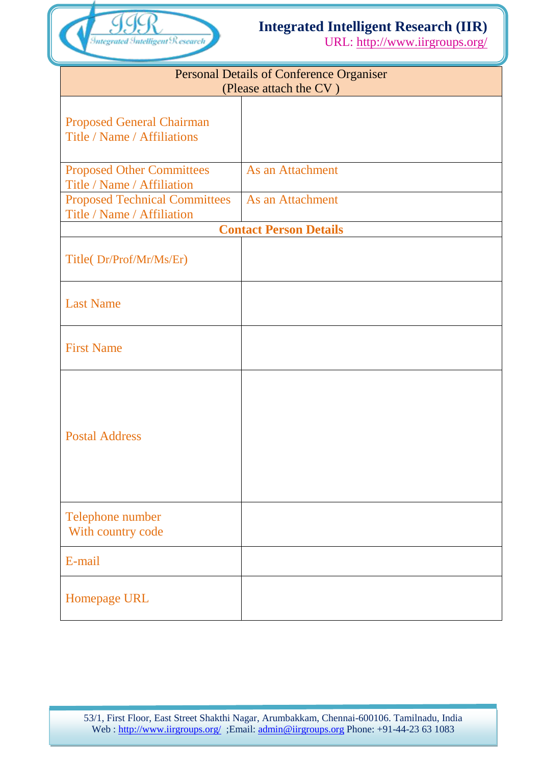

### **Integrated Intelligent Research (IIR)**

URL: http://www.iirgroups.org/

| <b>Personal Details of Conference Organiser</b><br>(Please attach the CV) |                  |  |  |  |
|---------------------------------------------------------------------------|------------------|--|--|--|
| <b>Proposed General Chairman</b><br>Title / Name / Affiliations           |                  |  |  |  |
| <b>Proposed Other Committees</b><br>Title / Name / Affiliation            | As an Attachment |  |  |  |
| <b>Proposed Technical Committees</b><br>Title / Name / Affiliation        | As an Attachment |  |  |  |
| <b>Contact Person Details</b>                                             |                  |  |  |  |
| Title(Dr/Prof/Mr/Ms/Er)                                                   |                  |  |  |  |
| <b>Last Name</b>                                                          |                  |  |  |  |
| <b>First Name</b>                                                         |                  |  |  |  |
| <b>Postal Address</b>                                                     |                  |  |  |  |
| Telephone number<br>With country code                                     |                  |  |  |  |
| E-mail                                                                    |                  |  |  |  |
| Homepage URL                                                              |                  |  |  |  |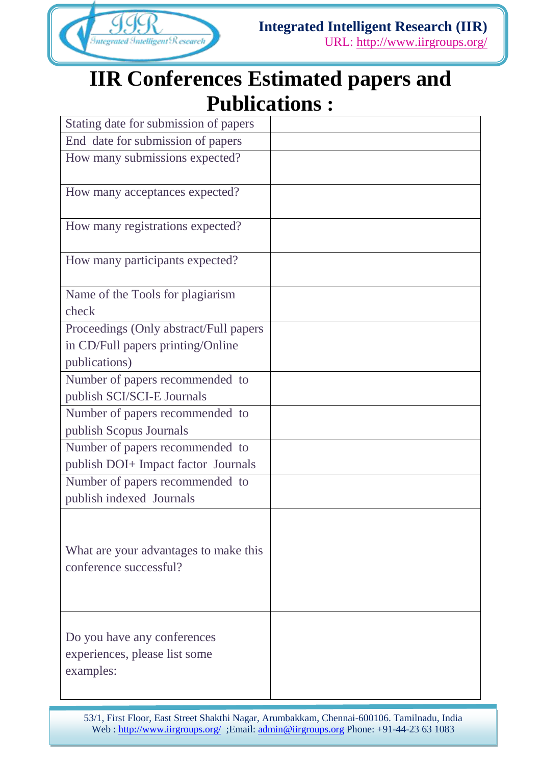

# **IIR Conferences Estimated papers and Publications :**

| Stating date for submission of papers                                     |  |
|---------------------------------------------------------------------------|--|
| End date for submission of papers                                         |  |
| How many submissions expected?                                            |  |
| How many acceptances expected?                                            |  |
| How many registrations expected?                                          |  |
| How many participants expected?                                           |  |
| Name of the Tools for plagiarism                                          |  |
| check                                                                     |  |
| Proceedings (Only abstract/Full papers                                    |  |
| in CD/Full papers printing/Online                                         |  |
| publications)                                                             |  |
| Number of papers recommended to                                           |  |
| publish SCI/SCI-E Journals                                                |  |
| Number of papers recommended to                                           |  |
| publish Scopus Journals                                                   |  |
| Number of papers recommended to                                           |  |
| publish DOI+ Impact factor Journals                                       |  |
| Number of papers recommended to                                           |  |
| publish indexed Journals                                                  |  |
| What are your advantages to make this<br>conference successful?           |  |
| Do you have any conferences<br>experiences, please list some<br>examples: |  |

53/1, First Floor, East Street Shakthi Nagar, Arumbakkam, Chennai-600106. Tamilnadu, India Web : http://www.iirgroups.org/ ;Email: admin@iirgroups.org Phone: +91-44-23 63 1083